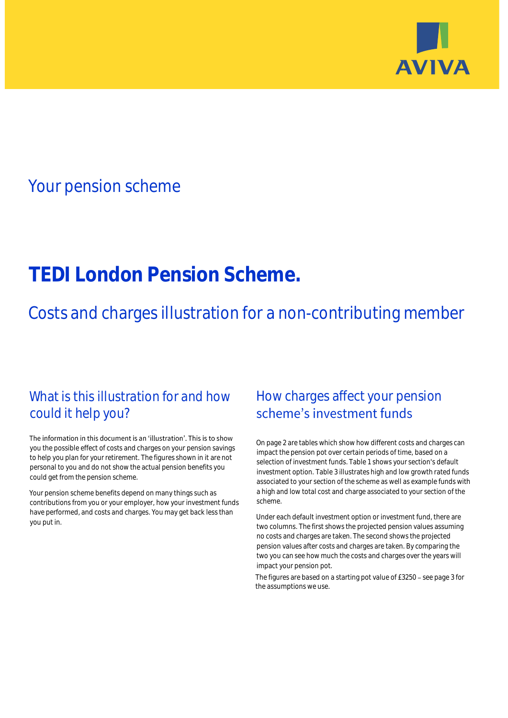

# Your pension scheme

# **TEDI London Pension Scheme.**

Costs and charges illustration for a non-contributing member

# What is this illustration for and how could it help you?

### The information in this document is an 'illustration'. This is to show you the possible effect of costs and charges on your pension savings to help you plan for your retirement. The figures shown in it are not personal to you and do not show the actual pension benefits you could get from the pension scheme.

Your pension scheme benefits depend on many things such as contributions from you or your employer, how your investment funds have performed, and costs and charges. You may get back less than you put in.

# How charges affect your pension scheme's investment funds

On page 2 are tables which show how different costs and charges can impact the pension pot over certain periods of time, based on a selection of investment funds. Table 1 shows your section's default investment option. Table 3 illustrates high and low growth rated funds associated to your section of the scheme as well as example funds with a high and low total cost and charge associated to your section of the scheme.

Under each default investment option or investment fund, there are two columns. The first shows the projected pension values assuming no costs and charges are taken. The second shows the projected pension values after costs and charges are taken. By comparing the two you can see how much the costs and charges over the years will impact your pension pot.

The figures are based on a starting pot value of  $£3250 -$  see page 3 for the assumptions we use.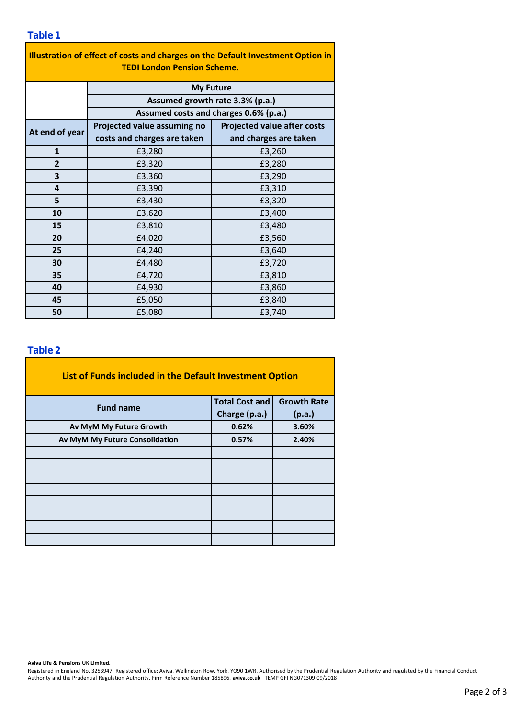### **Table 1**

| Illustration of effect of costs and charges on the Default Investment Option in |                                                                                              |                                    |  |  |  |  |  |  |  |
|---------------------------------------------------------------------------------|----------------------------------------------------------------------------------------------|------------------------------------|--|--|--|--|--|--|--|
| <b>TEDI London Pension Scheme.</b>                                              |                                                                                              |                                    |  |  |  |  |  |  |  |
|                                                                                 | <b>My Future</b><br>Assumed growth rate 3.3% (p.a.)<br>Assumed costs and charges 0.6% (p.a.) |                                    |  |  |  |  |  |  |  |
|                                                                                 |                                                                                              |                                    |  |  |  |  |  |  |  |
|                                                                                 |                                                                                              |                                    |  |  |  |  |  |  |  |
| At end of year                                                                  | Projected value assuming no                                                                  | <b>Projected value after costs</b> |  |  |  |  |  |  |  |
|                                                                                 | costs and charges are taken                                                                  | and charges are taken              |  |  |  |  |  |  |  |
| $\mathbf{1}$                                                                    | £3,280                                                                                       | £3,260                             |  |  |  |  |  |  |  |
| $\overline{2}$                                                                  | £3,320                                                                                       | £3,280                             |  |  |  |  |  |  |  |
| 3                                                                               | £3,360                                                                                       | £3,290                             |  |  |  |  |  |  |  |
| 4                                                                               | £3,390                                                                                       | £3,310                             |  |  |  |  |  |  |  |
| 5                                                                               | £3,430                                                                                       | £3,320                             |  |  |  |  |  |  |  |
| 10                                                                              | £3,620                                                                                       | £3,400                             |  |  |  |  |  |  |  |
| 15                                                                              | £3,810                                                                                       | £3,480                             |  |  |  |  |  |  |  |
| 20                                                                              | £4,020                                                                                       | £3,560                             |  |  |  |  |  |  |  |
| 25                                                                              | £4,240                                                                                       | £3,640                             |  |  |  |  |  |  |  |
| 30                                                                              | £4,480                                                                                       | £3,720                             |  |  |  |  |  |  |  |
| 35                                                                              | £4,720                                                                                       | £3,810                             |  |  |  |  |  |  |  |
| 40                                                                              | £4,930                                                                                       | £3,860                             |  |  |  |  |  |  |  |
| 45                                                                              | £5,050                                                                                       | £3,840                             |  |  |  |  |  |  |  |
| 50                                                                              | £5,080                                                                                       | £3,740                             |  |  |  |  |  |  |  |

### **Table 2**

| List of Funds included in the Default Investment Option |                       |                    |  |  |  |  |  |  |  |
|---------------------------------------------------------|-----------------------|--------------------|--|--|--|--|--|--|--|
| <b>Fund name</b>                                        | <b>Total Cost and</b> | <b>Growth Rate</b> |  |  |  |  |  |  |  |
|                                                         | Charge (p.a.)         | (p.a.)             |  |  |  |  |  |  |  |
| Av MyM My Future Growth                                 | 0.62%                 | 3.60%              |  |  |  |  |  |  |  |
| Av MyM My Future Consolidation                          | 0.57%                 | 2.40%              |  |  |  |  |  |  |  |
|                                                         |                       |                    |  |  |  |  |  |  |  |
|                                                         |                       |                    |  |  |  |  |  |  |  |
|                                                         |                       |                    |  |  |  |  |  |  |  |
|                                                         |                       |                    |  |  |  |  |  |  |  |
|                                                         |                       |                    |  |  |  |  |  |  |  |
|                                                         |                       |                    |  |  |  |  |  |  |  |
|                                                         |                       |                    |  |  |  |  |  |  |  |
|                                                         |                       |                    |  |  |  |  |  |  |  |

#### **Aviva Life & Pensions UK Limited.**

Registered in England No. 3253947. Registered office: Aviva, Wellington Row, York, YO90 1WR. Authorised by the Prudential Regulation Authority and regulated by the Financial Conduct Authority and the Prudential Regulation Authority. Firm Reference Number 185896. **aviva.co.uk** TEMP GFI NG071309 09/2018